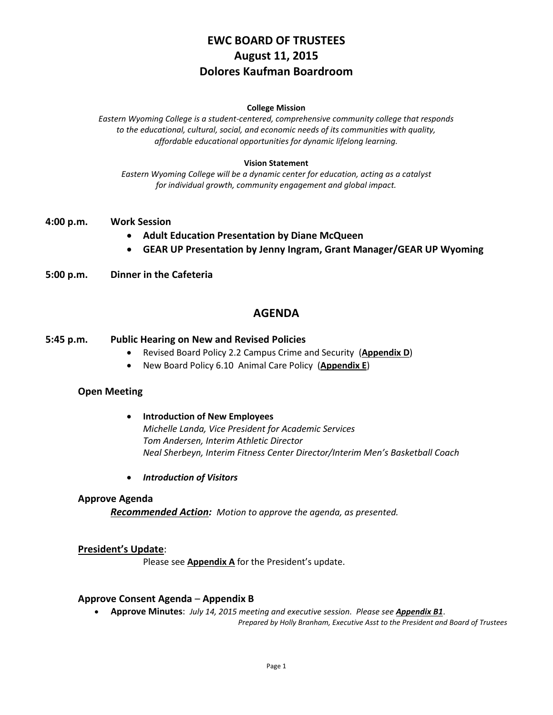# **EWC BOARD OF TRUSTEES August 11, 2015 Dolores Kaufman Boardroom**

#### **College Mission**

*Eastern Wyoming College is a student-centered, comprehensive community college that responds to the educational, cultural, social, and economic needs of its communities with quality, affordable educational opportunities for dynamic lifelong learning.*

#### **Vision Statement**

*Eastern Wyoming College will be a dynamic center for education, acting as a catalyst for individual growth, community engagement and global impact.*

- **4:00 p.m. Work Session** 
	- **Adult Education Presentation by Diane McQueen**
	- **GEAR UP Presentation by Jenny Ingram, Grant Manager/GEAR UP Wyoming**
- **5:00 p.m. Dinner in the Cafeteria**

# **AGENDA**

### **5:45 p.m. Public Hearing on New and Revised Policies**

- Revised Board Policy 2.2 Campus Crime and Security (**Appendix D**)
- New Board Policy 6.10 Animal Care Policy (**Appendix E**)

### **Open Meeting**

 **Introduction of New Employees** *Michelle Landa, Vice President for Academic Services Tom Andersen, Interim Athletic Director Neal Sherbeyn, Interim Fitness Center Director/Interim Men's Basketball Coach*

*Introduction of Visitors*

### **Approve Agenda**

*Recommended Action: Motion to approve the agenda, as presented.*

### **President's Update**:

Please see **Appendix A** for the President's update.

#### **Approve Consent Agenda** – **Appendix B**

**Approve Minutes**: *July 14, 2015 meeting and executive session. Please see Appendix B1*.

*Prepared by Holly Branham, Executive Asst to the President and Board of Trustees*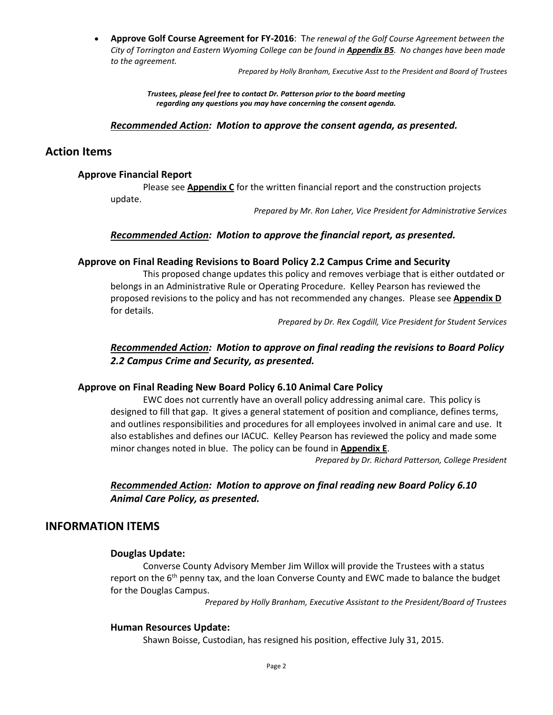**Approve Golf Course Agreement for FY-2016**: T*he renewal of the Golf Course Agreement between the City of Torrington and Eastern Wyoming College can be found in Appendix B5. No changes have been made to the agreement.*

*Prepared by Holly Branham, Executive Asst to the President and Board of Trustees*

*Trustees, please feel free to contact Dr. Patterson prior to the board meeting regarding any questions you may have concerning the consent agenda.*

#### *Recommended Action: Motion to approve the consent agenda, as presented.*

### **Action Items**

### **Approve Financial Report**

Please see **Appendix C** for the written financial report and the construction projects update.

*Prepared by Mr. Ron Laher, Vice President for Administrative Services*

### *Recommended Action: Motion to approve the financial report, as presented.*

### **Approve on Final Reading Revisions to Board Policy 2.2 Campus Crime and Security**

This proposed change updates this policy and removes verbiage that is either outdated or belongs in an Administrative Rule or Operating Procedure. Kelley Pearson has reviewed the proposed revisions to the policy and has not recommended any changes. Please see **Appendix D** for details.

*Prepared by Dr. Rex Cogdill, Vice President for Student Services*

# *Recommended Action: Motion to approve on final reading the revisions to Board Policy 2.2 Campus Crime and Security, as presented.*

### **Approve on Final Reading New Board Policy 6.10 Animal Care Policy**

EWC does not currently have an overall policy addressing animal care. This policy is designed to fill that gap. It gives a general statement of position and compliance, defines terms, and outlines responsibilities and procedures for all employees involved in animal care and use. It also establishes and defines our IACUC. Kelley Pearson has reviewed the policy and made some minor changes noted in blue. The policy can be found in **Appendix E**.

*Prepared by Dr. Richard Patterson, College President*

# *Recommended Action: Motion to approve on final reading new Board Policy 6.10 Animal Care Policy, as presented.*

### **INFORMATION ITEMS**

#### **Douglas Update:**

Converse County Advisory Member Jim Willox will provide the Trustees with a status report on the  $6<sup>th</sup>$  penny tax, and the loan Converse County and EWC made to balance the budget for the Douglas Campus.

*Prepared by Holly Branham, Executive Assistant to the President/Board of Trustees*

#### **Human Resources Update:**

Shawn Boisse, Custodian, has resigned his position, effective July 31, 2015.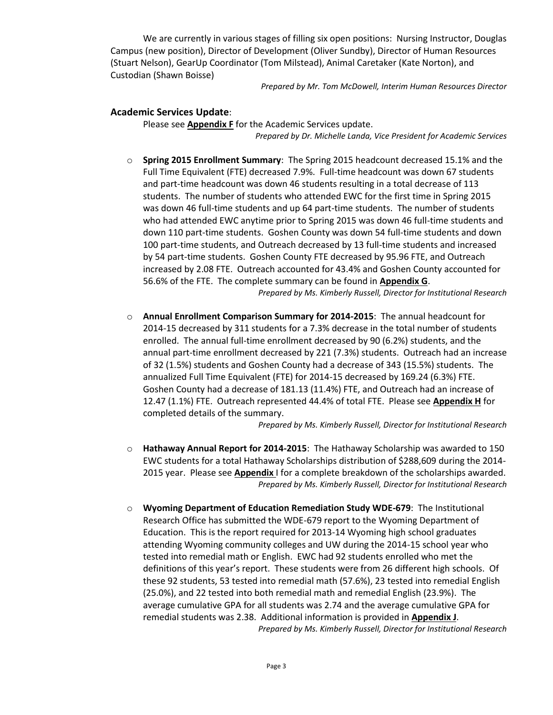We are currently in various stages of filling six open positions: Nursing Instructor, Douglas Campus (new position), Director of Development (Oliver Sundby), Director of Human Resources (Stuart Nelson), GearUp Coordinator (Tom Milstead), Animal Caretaker (Kate Norton), and Custodian (Shawn Boisse)

*Prepared by Mr. Tom McDowell, Interim Human Resources Director*

### **Academic Services Update**:

Please see **Appendix F** for the Academic Services update. *Prepared by Dr. Michelle Landa, Vice President for Academic Services*

- o **Spring 2015 Enrollment Summary**: The Spring 2015 headcount decreased 15.1% and the Full Time Equivalent (FTE) decreased 7.9%. Full-time headcount was down 67 students and part-time headcount was down 46 students resulting in a total decrease of 113 students. The number of students who attended EWC for the first time in Spring 2015 was down 46 full-time students and up 64 part-time students. The number of students who had attended EWC anytime prior to Spring 2015 was down 46 full-time students and down 110 part-time students. Goshen County was down 54 full-time students and down 100 part-time students, and Outreach decreased by 13 full-time students and increased by 54 part-time students. Goshen County FTE decreased by 95.96 FTE, and Outreach increased by 2.08 FTE. Outreach accounted for 43.4% and Goshen County accounted for 56.6% of the FTE. The complete summary can be found in **Appendix G**. *Prepared by Ms. Kimberly Russell, Director for Institutional Research*
- o **Annual Enrollment Comparison Summary for 2014-2015**: The annual headcount for 2014-15 decreased by 311 students for a 7.3% decrease in the total number of students enrolled. The annual full-time enrollment decreased by 90 (6.2%) students, and the annual part-time enrollment decreased by 221 (7.3%) students. Outreach had an increase of 32 (1.5%) students and Goshen County had a decrease of 343 (15.5%) students. The annualized Full Time Equivalent (FTE) for 2014-15 decreased by 169.24 (6.3%) FTE. Goshen County had a decrease of 181.13 (11.4%) FTE, and Outreach had an increase of 12.47 (1.1%) FTE. Outreach represented 44.4% of total FTE. Please see **Appendix H** for completed details of the summary.

*Prepared by Ms. Kimberly Russell, Director for Institutional Research*

- o **Hathaway Annual Report for 2014-2015**: The Hathaway Scholarship was awarded to 150 EWC students for a total Hathaway Scholarships distribution of \$288,609 during the 2014- 2015 year. Please see **Appendix** I for a complete breakdown of the scholarships awarded. *Prepared by Ms. Kimberly Russell, Director for Institutional Research*
- o **Wyoming Department of Education Remediation Study WDE-679**: The Institutional Research Office has submitted the WDE-679 report to the Wyoming Department of Education. This is the report required for 2013-14 Wyoming high school graduates attending Wyoming community colleges and UW during the 2014-15 school year who tested into remedial math or English. EWC had 92 students enrolled who met the definitions of this year's report. These students were from 26 different high schools. Of these 92 students, 53 tested into remedial math (57.6%), 23 tested into remedial English (25.0%), and 22 tested into both remedial math and remedial English (23.9%). The average cumulative GPA for all students was 2.74 and the average cumulative GPA for remedial students was 2.38. Additional information is provided in **Appendix J**. *Prepared by Ms. Kimberly Russell, Director for Institutional Research*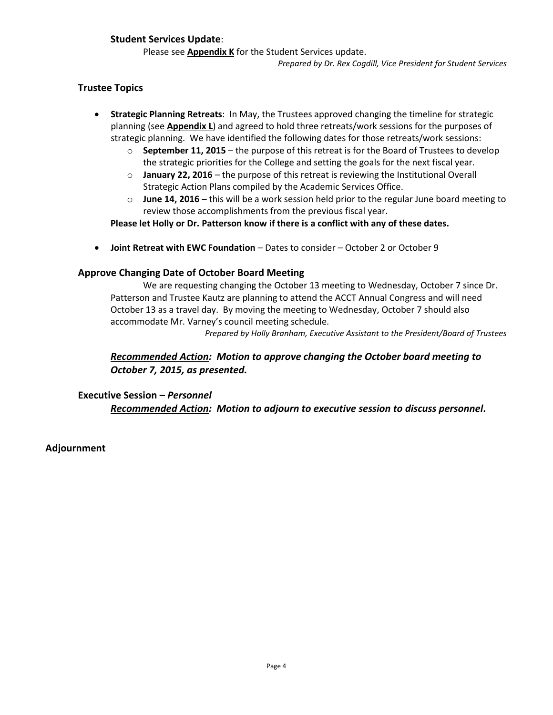## **Student Services Update**:

Please see **Appendix K** for the Student Services update.

*Prepared by Dr. Rex Cogdill, Vice President for Student Services*

## **Trustee Topics**

- **Strategic Planning Retreats**: In May, the Trustees approved changing the timeline for strategic planning (see **Appendix L**) and agreed to hold three retreats/work sessions for the purposes of strategic planning. We have identified the following dates for those retreats/work sessions:
	- o **September 11, 2015** the purpose of this retreat is for the Board of Trustees to develop the strategic priorities for the College and setting the goals for the next fiscal year.
	- o **January 22, 2016** the purpose of this retreat is reviewing the Institutional Overall Strategic Action Plans compiled by the Academic Services Office.
	- o **June 14, 2016** this will be a work session held prior to the regular June board meeting to review those accomplishments from the previous fiscal year.

**Please let Holly or Dr. Patterson know if there is a conflict with any of these dates.** 

**Joint Retreat with EWC Foundation** – Dates to consider – October 2 or October 9

# **Approve Changing Date of October Board Meeting**

We are requesting changing the October 13 meeting to Wednesday, October 7 since Dr. Patterson and Trustee Kautz are planning to attend the ACCT Annual Congress and will need October 13 as a travel day. By moving the meeting to Wednesday, October 7 should also accommodate Mr. Varney's council meeting schedule.

*Prepared by Holly Branham, Executive Assistant to the President/Board of Trustees*

# *Recommended Action: Motion to approve changing the October board meeting to October 7, 2015, as presented.*

**Executive Session –** *Personnel*

*Recommended Action: Motion to adjourn to executive session to discuss personnel.*

**Adjournment**